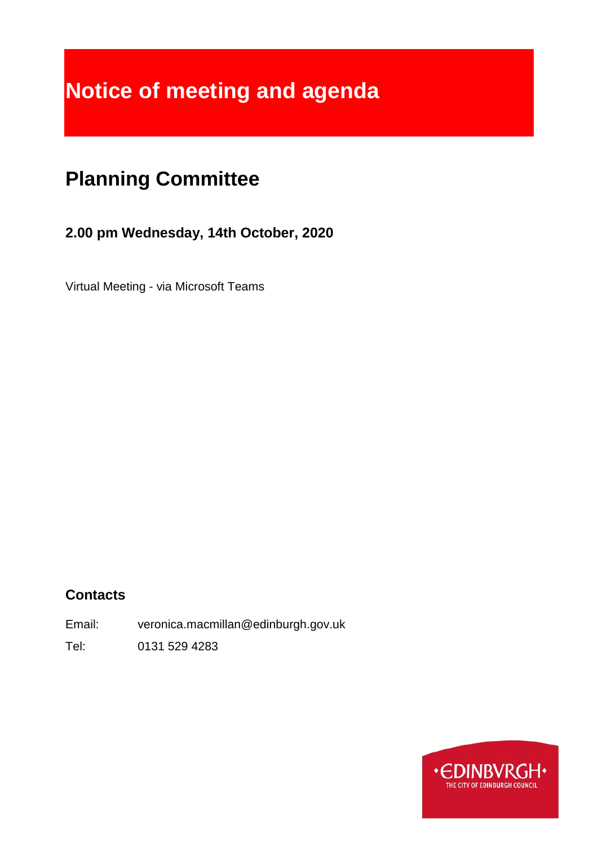# **Notice of meeting and agenda**

# **Planning Committee**

# **2.00 pm Wednesday, 14th October, 2020**

Virtual Meeting - via Microsoft Teams

# **Contacts**

Email: veronica.macmillan@edinburgh.gov.uk

Tel: 0131 529 4283

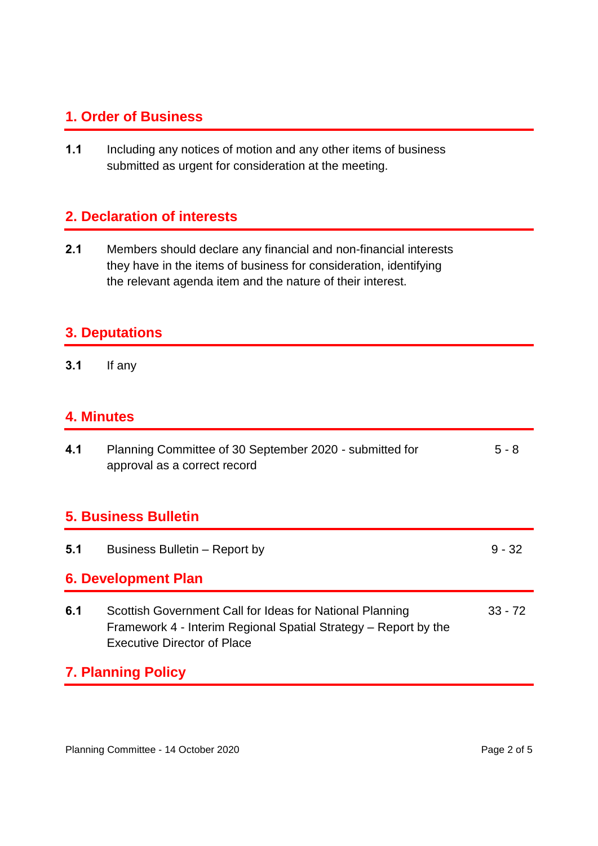## **1. Order of Business**

**1.1** Including any notices of motion and any other items of business submitted as urgent for consideration at the meeting.

# **2. Declaration of interests**

**2.1** Members should declare any financial and non-financial interests they have in the items of business for consideration, identifying the relevant agenda item and the nature of their interest.

#### **3. Deputations**

**3.1** If any

#### **4. Minutes**

| 4.1                         | Planning Committee of 30 September 2020 - submitted for<br>approval as a correct record                                                                           | $5 - 8$   |  |  |
|-----------------------------|-------------------------------------------------------------------------------------------------------------------------------------------------------------------|-----------|--|--|
| <b>5. Business Bulletin</b> |                                                                                                                                                                   |           |  |  |
| 5.1                         | Business Bulletin – Report by                                                                                                                                     | $9 - 32$  |  |  |
| <b>6. Development Plan</b>  |                                                                                                                                                                   |           |  |  |
| 6.1                         | Scottish Government Call for Ideas for National Planning<br>Framework 4 - Interim Regional Spatial Strategy – Report by the<br><b>Executive Director of Place</b> | $33 - 72$ |  |  |
|                             | <b>7. Planning Policy</b>                                                                                                                                         |           |  |  |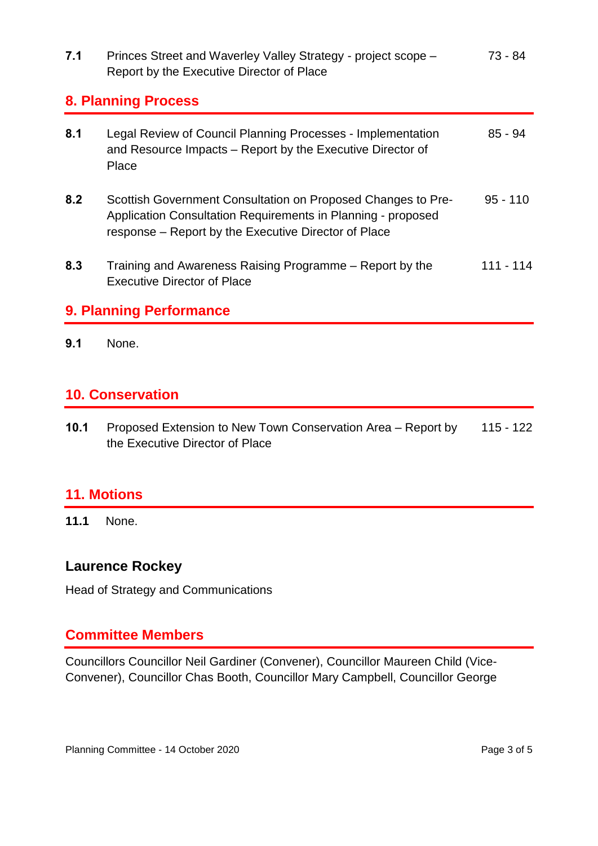| 7.1                        | Princes Street and Waverley Valley Strategy - project scope -<br>Report by the Executive Director of Place                                                                           | 73 - 84    |  |
|----------------------------|--------------------------------------------------------------------------------------------------------------------------------------------------------------------------------------|------------|--|
| <b>8. Planning Process</b> |                                                                                                                                                                                      |            |  |
| 8.1                        | Legal Review of Council Planning Processes - Implementation<br>and Resource Impacts – Report by the Executive Director of<br>Place                                                   | $85 - 94$  |  |
| 8.2                        | Scottish Government Consultation on Proposed Changes to Pre-<br>Application Consultation Requirements in Planning - proposed<br>response – Report by the Executive Director of Place | $95 - 110$ |  |
| 8.3                        | Training and Awareness Raising Programme – Report by the<br><b>Executive Director of Place</b>                                                                                       | 111 - 114  |  |

# **9. Planning Performance**

**9.1** None.

#### **10. Conservation**

**10.1** Proposed Extension to New Town Conservation Area – Report by the Executive Director of Place 115 - 122

#### **11. Motions**

**11.1** None.

#### **Laurence Rockey**

Head of Strategy and Communications

#### **Committee Members**

Councillors Councillor Neil Gardiner (Convener), Councillor Maureen Child (Vice-Convener), Councillor Chas Booth, Councillor Mary Campbell, Councillor George